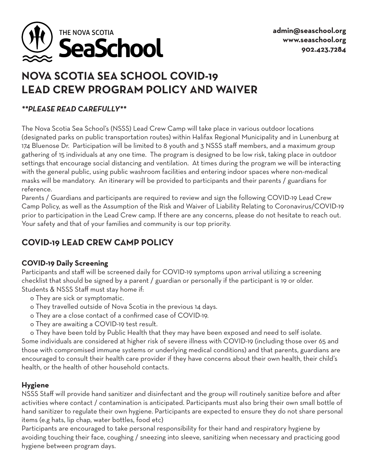

# **NOVA SCOTIA SEA SCHOOL COVID-19 LEAD CREW PROGRAM POLICY AND WAIVER**

#### *\*\*PLEASE READ CAREFULLY\*\**

The Nova Scotia Sea School's (NSSS) Lead Crew Camp will take place in various outdoor locations (designated parks on public transportation routes) within Halifax Regional Municipality and in Lunenburg at 174 Bluenose Dr. Participation will be limited to 8 youth and 3 NSSS staff members, and a maximum group gathering of 15 individuals at any one time. The program is designed to be low risk, taking place in outdoor settings that encourage social distancing and ventilation. At times during the program we will be interacting with the general public, using public washroom facilities and entering indoor spaces where non-medical masks will be mandatory. An itinerary will be provided to participants and their parents / guardians for reference.

Parents / Guardians and participants are required to review and sign the following COVID-19 Lead Crew Camp Policy, as well as the Assumption of the Risk and Waiver of Liability Relating to Coronavirus/COVID-19 prior to participation in the Lead Crew camp. If there are any concerns, please do not hesitate to reach out. Your safety and that of your families and community is our top priority.

# **COVID-19 LEAD CREW CAMP POLICY**

## **COVID-19 Daily Screening**

Participants and staff will be screened daily for COVID-19 symptoms upon arrival utilizing a screening checklist that should be signed by a parent / guardian or personally if the participant is 19 or older. Students & NSSS Staff must stay home if:

- o They are sick or symptomatic.
- o They travelled outside of Nova Scotia in the previous 14 days.
- o They are a close contact of a confirmed case of COVID-19.
- o They are awaiting a COVID-19 test result.

 o They have been told by Public Health that they may have been exposed and need to self isolate. Some individuals are considered at higher risk of severe illness with COVID-19 (including those over 65 and those with compromised immune systems or underlying medical conditions) and that parents, guardians are encouraged to consult their health care provider if they have concerns about their own health, their child's

health, or the health of other household contacts.

## **Hygiene**

NSSS Staff will provide hand sanitizer and disinfectant and the group will routinely sanitize before and after activities where contact / contamination is anticipated. Participants must also bring their own small bottle of hand sanitizer to regulate their own hygiene. Participants are expected to ensure they do not share personal items (e.g hats, lip chap, water bottles, food etc)

Participants are encouraged to take personal responsibility for their hand and respiratory hygiene by avoiding touching their face, coughing / sneezing into sleeve, sanitizing when necessary and practicing good hygiene between program days.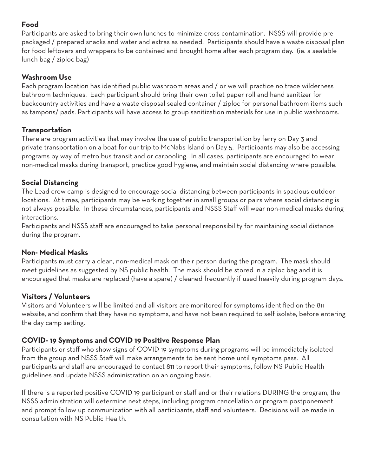## **Food**

Participants are asked to bring their own lunches to minimize cross contamination. NSSS will provide pre packaged / prepared snacks and water and extras as needed. Participants should have a waste disposal plan for food leftovers and wrappers to be contained and brought home after each program day. (ie. a sealable lunch bag / ziploc bag)

#### **Washroom Use**

Each program location has identified public washroom areas and / or we will practice no trace wilderness bathroom techniques. Each participant should bring their own toilet paper roll and hand sanitizer for backcountry activities and have a waste disposal sealed container / ziploc for personal bathroom items such as tampons/ pads. Participants will have access to group sanitization materials for use in public washrooms.

#### **Transportation**

There are program activities that may involve the use of public transportation by ferry on Day 3 and private transportation on a boat for our trip to McNabs Island on Day 5. Participants may also be accessing programs by way of metro bus transit and or carpooling. In all cases, participants are encouraged to wear non-medical masks during transport, practice good hygiene, and maintain social distancing where possible.

#### **Social Distancing**

The Lead crew camp is designed to encourage social distancing between participants in spacious outdoor locations. At times, participants may be working together in small groups or pairs where social distancing is not always possible. In these circumstances, participants and NSSS Staff will wear non-medical masks during interactions.

Participants and NSSS staff are encouraged to take personal responsibility for maintaining social distance during the program.

#### **Non- Medical Masks**

Participants must carry a clean, non-medical mask on their person during the program. The mask should meet guidelines as suggested by NS public health. The mask should be stored in a ziploc bag and it is encouraged that masks are replaced (have a spare) / cleaned frequently if used heavily during program days.

## **Visitors / Volunteers**

Visitors and Volunteers will be limited and all visitors are monitored for symptoms identified on the 811 website, and confirm that they have no symptoms, and have not been required to self isolate, before entering the day camp setting.

## **COVID- 19 Symptoms and COVID 19 Positive Response Plan**

Participants or staff who show signs of COVID 19 symptoms during programs will be immediately isolated from the group and NSSS Staff will make arrangements to be sent home until symptoms pass. All participants and staff are encouraged to contact 811 to report their symptoms, follow NS Public Health guidelines and update NSSS administration on an ongoing basis.

If there is a reported positive COVID 19 participant or staff and or their relations DURING the program, the NSSS administration will determine next steps, including program cancellation or program postponement and prompt follow up communication with all participants, staff and volunteers. Decisions will be made in consultation with NS Public Health.